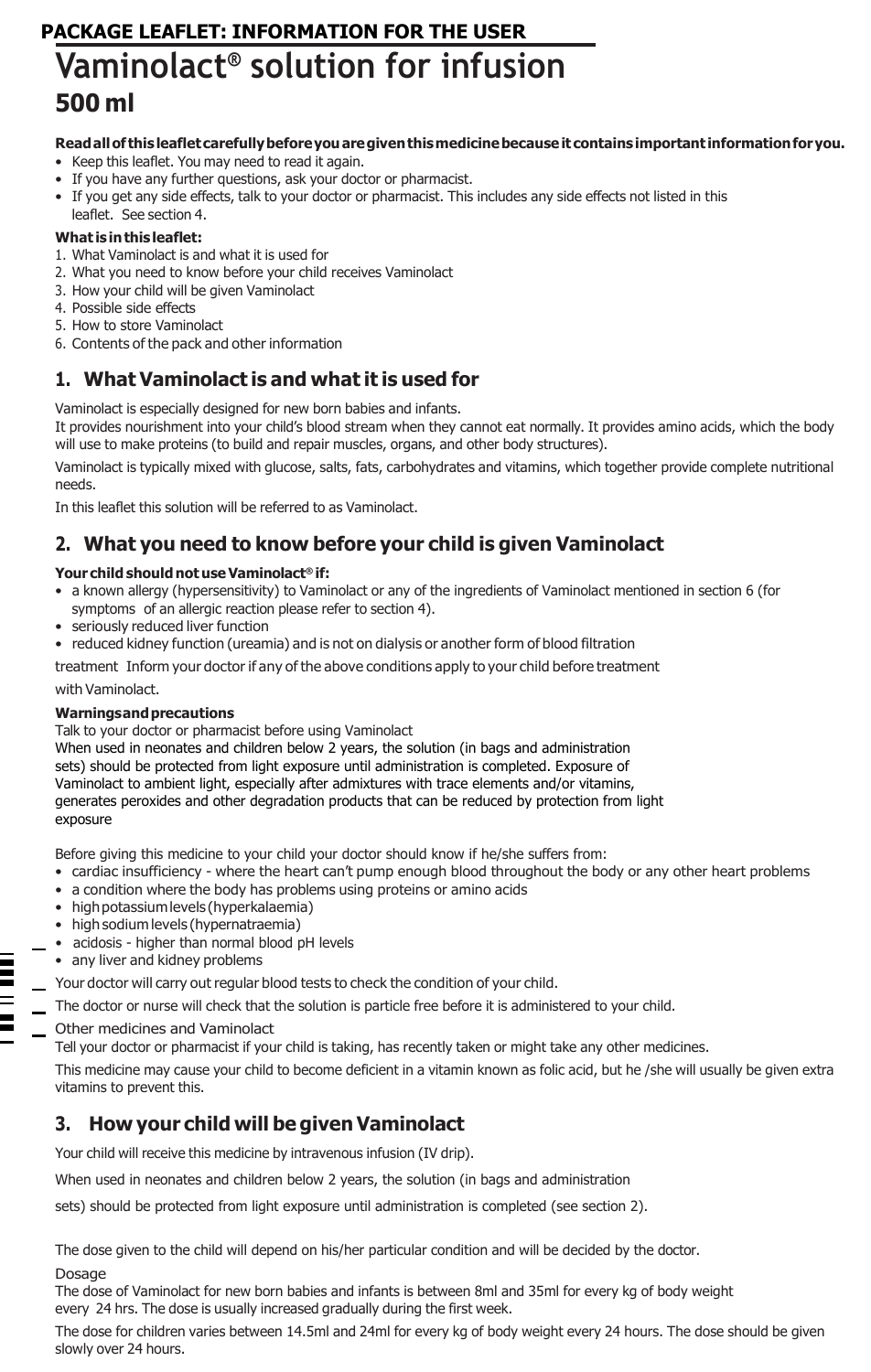# **PACKAGE LEAFLET: INFORMATION FOR THE USER Vaminolact ® solution for infusion 500 ml**

### **Readallof thisleafletcarefullybeforeyouaregiventhismedicinebecauseit contains important informationforyou.**

- Keep this leaflet. You may need to read it again.
- If you have any further questions, ask your doctor or pharmacist.
- If you get any side effects, talk to your doctor or pharmacist. This includes any side effects not listed in this leaflet. See section 4.

### **What isinthisleaflet:**

- 1. What Vaminolact is and what it is used for
- 2. What you need to know before your child receives Vaminolact
- 3. How your child will be given Vaminolact
- 4. Possible side effects
- 5. How to store Vaminolact
- 6. Contents of the pack and other information

# **1. What Vaminolact is and what it is used for**

Vaminolact is especially designed for new born babies and infants.

It provides nourishment into your child's blood stream when they cannot eat normally. It provides amino acids, which the body will use to make proteins (to build and repair muscles, organs, and other body structures).

Vaminolact is typically mixed with glucose, salts, fats, carbohydrates and vitamins, which together provide complete nutritional needs.

In this leaflet this solution will be referred to as Vaminolact.

# **2. What you need to know before your child is given Vaminolact**

#### **Your child shouldnotuseVaminolact® if:**

- a known allergy (hypersensitivity) to Vaminolact or any of the ingredients of Vaminolact mentioned in section 6 (for symptoms of an allergic reaction please refer to section 4).
- seriously reduced liver function
- reduced kidney function (ureamia) and is not on dialysis or another form of blood filtration

treatment Inform your doctor if any of the above conditions apply to your child before treatment with Vaminolact.

#### **Warningsandprecautions**

Talk to your doctor or pharmacist before using Vaminolact

When used in neonates and children below 2 years, the solution (in bags and administration sets) should be protected from light exposure until administration is completed. Exposure of Vaminolact to ambient light, especially after admixtures with trace elements and/or vitamins, generates peroxides and other degradation products that can be reduced by protection from light exposure

Before giving this medicine to your child your doctor should know if he/she suffers from:

- cardiac insufficiency where the heart can't pump enough blood throughout the body or any other heart problems
- a condition where the body has problems using proteins or amino acids
- highpotassiumlevels (hyperkalaemia)
- high sodium levels (hypernatraemia)
- acidosis higher than normal blood pH levels
- any liver and kidney problems
- Your doctor will carry out regular blood tests to check the condition of your child.
- The doctor or nurse will check that the solution is particle free before it is administered to your child.
- Other medicines and Vaminolact

Tell your doctor or pharmacist if your child is taking, has recently taken or might take any other medicines.

This medicine may cause your child to become deficient in a vitamin known as folic acid, but he /she will usually be given extra vitamins to prevent this.

# **3. How your child will be given Vaminolact**

Your child will receive this medicine by intravenous infusion (IV drip).

When used in neonates and children below 2 years, the solution (in bags and administration

sets) should be protected from light exposure until administration is completed (see section 2).

The dose given to the child will depend on his/her particular condition and will be decided by the doctor.

#### Dosage

The dose of Vaminolact for new born babies and infants is between 8ml and 35ml for every kg of body weight every 24 hrs. The dose is usually increased gradually during the first week.

The dose for children varies between 14.5ml and 24ml for every kg of body weight every 24 hours. The dose should be given slowly over 24 hours.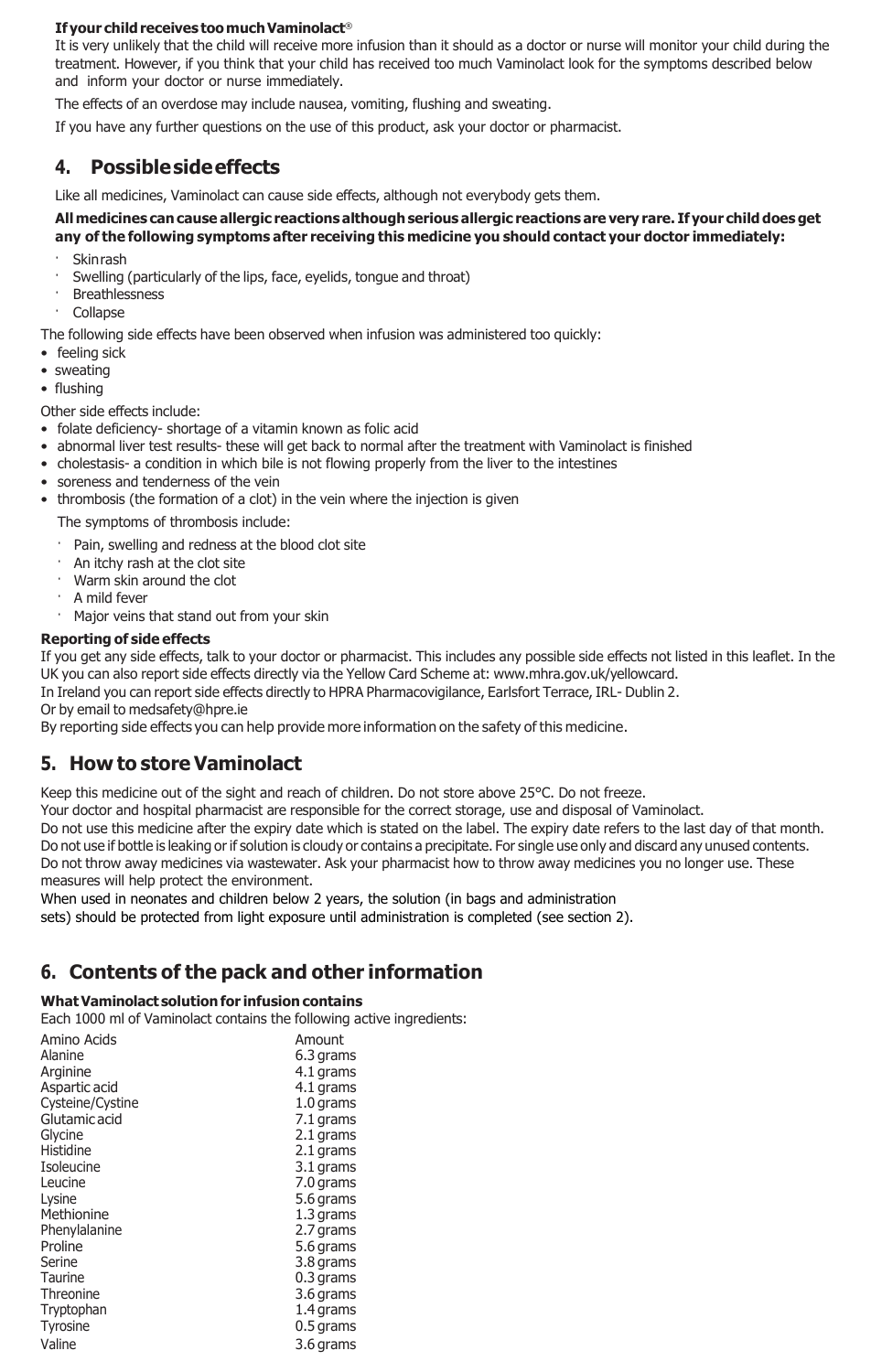#### **If your childreceives toomuchVaminolact**®

It is very unlikely that the child will receive more infusion than it should as a doctor or nurse will monitor your child during the treatment. However, if you think that your child has received too much Vaminolact look for the symptoms described below and inform your doctor or nurse immediately.

The effects of an overdose may include nausea, vomiting, flushing and sweating.

If you have any further questions on the use of this product, ask your doctor or pharmacist.

## **4. Possiblesideeffects**

Like all medicines, Vaminolact can cause side effects, although not everybody gets them.

#### **Allmedicines cancause allergic reactions althoughserious allergic reactions are very rare. If your child does get any of the following symptoms after receiving this medicine you should contact your doctor immediately:**

- **Skinrash**
- Swelling (particularly of the lips, face, eyelids, tongue and throat)
- **Breathlessness**
- · Collapse

The following side effects have been observed when infusion was administered too quickly:

- feeling sick
- sweating
- flushing

Other side effects include:

- folate deficiency- shortage of a vitamin known as folic acid
- abnormal liver test results- these will get back to normal after the treatment with Vaminolact is finished
- cholestasis- a condition in which bile is not flowing properly from the liver to the intestines
- soreness and tenderness of the vein
- thrombosis (the formation of a clot) in the vein where the injection is given

The symptoms of thrombosis include:

- · Pain, swelling and redness at the blood clot site
- · An itchy rash at the clot site
- · Warm skin around the clot
- A mild fever
- Major veins that stand out from your skin

#### **Reporting of side effects**

If you get any side effects, talk to your doctor or pharmacist. This includes any possible side effects not listed in this leaflet. In the UK you can also report side effects directly via the Yellow Card Scheme at: [www.mhra.gov.uk/yellowcard.](http://www.mhra.gov.uk/yellowcard)

In Ireland you can report side effects directly to HPRA Pharmacovigilance, Earlsfort Terrace, IRL- Dublin 2.

Or by email to [medsafety@hpre.ie](mailto:medsafety@hpre.ie)

By reporting side effects you can help provide more information on the safety of this medicine.

## **5. How to store Vaminolact**

Keep this medicine out of the sight and reach of children. Do not store above 25°C. Do not freeze.

Your doctor and hospital pharmacist are responsible for the correct storage, use and disposal of Vaminolact.

Do not use this medicine after the expiry date which is stated on the label. The expiry date refers to the last day of that month. Do not use if bottle is leaking orif solution is cloudy or contains a precipitate. For single use only and discard any unused contents. Do not throw away medicines via wastewater. Ask your pharmacist how to throw away medicines you no longer use. These measures will help protect the environment.

When used in neonates and children below 2 years, the solution (in bags and administration

sets) should be protected from light exposure until administration is completed (see section 2).

# **6. Contents of the pack and other information**

### **WhatVaminolact solutionfor infusion contains**

Each 1000 ml of Vaminolact contains the following active ingredients:

| Amino Acids      | Amount    |
|------------------|-----------|
| Alanine          | 6.3 grams |
| Arginine         | 4.1 grams |
| Aspartic acid    | 4.1 grams |
| Cysteine/Cystine | 1.0 grams |
| Glutamic acid    | 7.1 grams |
| Glycine          | 2.1 grams |
| Histidine        | 2.1 grams |
| Isoleucine       | 3.1 grams |
| Leucine          | 7.0 grams |
| Lysine           | 5.6 grams |
| Methionine       | 1.3 grams |
| Phenylalanine    | 2.7 grams |
| Proline          | 5.6 grams |
| Serine           | 3.8 grams |
| Taurine          | 0.3 grams |
| Threonine        | 3.6 grams |
| Tryptophan       | 1.4 grams |
| Tyrosine         | 0.5 grams |
| Valine           | 3.6 grams |